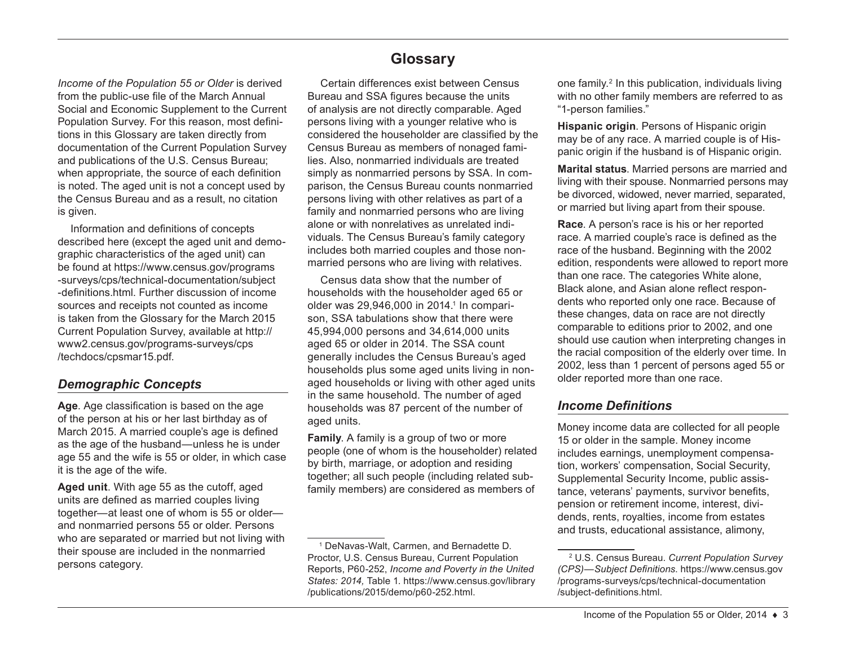*Income of the Population 55 or Older* is derived from the public-use file of the March Annual Social and Economic Supplement to the Current Population Survey. For this reason, most definitions in this Glossary are taken directly from documentation of the Current Population Survey and publications of the U.S. Census Bureau; when appropriate, the source of each definition is noted. The aged unit is not a concept used by the Census Bureau and as a result, no citation is given.

Information and definitions of concepts described here (except the aged unit and demographic characteristics of the aged unit) can be found at [https://www.census.gov/programs](https://www.census.gov/programs-surveys/cps/technical-documentation/subject-definitions.html) [-surveys/cps/technical-documentation/subject](https://www.census.gov/programs-surveys/cps/technical-documentation/subject-definitions.html) [-definitions.html](https://www.census.gov/programs-surveys/cps/technical-documentation/subject-definitions.html). Further discussion of income sources and receipts not counted as income is taken from the Glossary for the March 2015 Current Population Survey, available at [http://](http://www2.census.gov/programs-surveys/cps/techdocs/cpsmar15.pdf) [www2.census.gov/programs-surveys/cps](http://www2.census.gov/programs-surveys/cps/techdocs/cpsmar15.pdf) [/techdocs/cpsmar15.pdf](http://www2.census.gov/programs-surveys/cps/techdocs/cpsmar15.pdf).

# *Demographic Concepts*

**Age**. Age classification is based on the age of the person at his or her last birthday as of March 2015. A married couple's age is defined as the age of the husband—unless he is under age 55 and the wife is 55 or older, in which case it is the age of the wife.

**Aged unit**. With age 55 as the cutoff, aged units are defined as married couples living together—at least one of whom is 55 or older and nonmarried persons 55 or older. Persons who are separated or married but not living with their spouse are included in the nonmarried persons category.

# **Glossary**

Certain differences exist between Census Bureau and SSA figures because the units of analysis are not directly comparable. Aged persons living with a younger relative who is considered the householder are classified by the Census Bureau as members of nonaged families. Also, nonmarried individuals are treated simply as nonmarried persons by SSA. In comparison, the Census Bureau counts nonmarried persons living with other relatives as part of a family and nonmarried persons who are living alone or with nonrelatives as unrelated individuals. The Census Bureau's family category includes both married couples and those nonmarried persons who are living with relatives.

Census data show that the number of households with the householder aged 65 or older was 29,946,000 in 2014.<sup>1</sup> In comparison, SSA tabulations show that there were 45,994,000 persons and 34,614,000 units aged 65 or older in 2014. The SSA count generally includes the Census Bureau's aged households plus some aged units living in nonaged households or living with other aged units in the same household. The number of aged households was 87 percent of the number of aged units.

**Family**. A family is a group of two or more people (one of whom is the householder) related by birth, marriage, or adoption and residing together; all such people (including related subfamily members) are considered as members of

one family.2 In this publication, individuals living with no other family members are referred to as "1-person families."

**Hispanic origin**. Persons of Hispanic origin may be of any race. A married couple is of Hispanic origin if the husband is of Hispanic origin.

**Marital status**. Married persons are married and living with their spouse. Nonmarried persons may be divorced, widowed, never married, separated, or married but living apart from their spouse.

**Race**. A person's race is his or her reported race. A married couple's race is defined as the race of the husband. Beginning with the 2002 edition, respondents were allowed to report more than one race. The categories White alone, Black alone, and Asian alone reflect respondents who reported only one race. Because of these changes, data on race are not directly comparable to editions prior to 2002, and one should use caution when interpreting changes in the racial composition of the elderly over time. In 2002, less than 1 percent of persons aged 55 or older reported more than one race.

### *Income Definitions*

Money income data are collected for all people 15 or older in the sample. Money income includes earnings, unemployment compensation, workers' compensation, Social Security, Supplemental Security Income, public assistance, veterans' payments, survivor benefits, pension or retirement income, interest, dividends, rents, royalties, income from estates and trusts, educational assistance, alimony,

<sup>1</sup> DeNavas-Walt, Carmen, and Bernadette D. Proctor, U.S. Census Bureau, Current Population Reports, P60-252, *Income and Poverty in the United States: 2014,* Table 1. [https://www.census.gov/library](https://www.census.gov/library/publications/2015/demo/p60-252.html) [/publications/2015/demo/p60-252.html](https://www.census.gov/library/publications/2015/demo/p60-252.html).

<sup>2</sup> U.S. Census Bureau. *Current Population Survey (CPS)—Subject Definitions*. [https://www.census.gov](https://www.census.gov/programs-surveys/cps/technical-documentation/subject-definitions.html) [/programs-surveys/cps/technical-documentation](https://www.census.gov/programs-surveys/cps/technical-documentation/subject-definitions.html) [/subject-definitions.html](https://www.census.gov/programs-surveys/cps/technical-documentation/subject-definitions.html).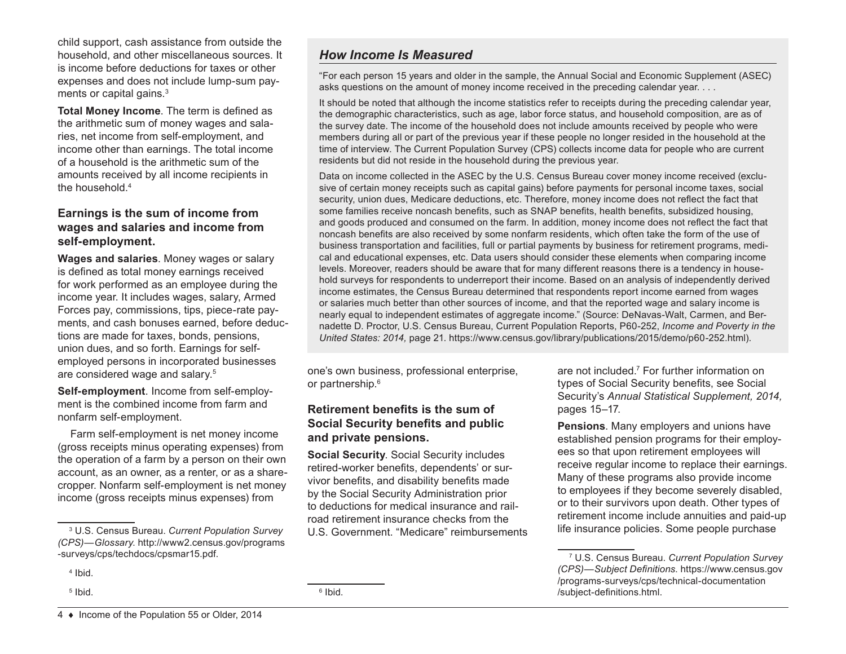child support, cash assistance from outside the household, and other miscellaneous sources. It is income before deductions for taxes or other expenses and does not include lump-sum payments or capital gains.<sup>3</sup>

**Total Money Income**. The term is defined as the arithmetic sum of money wages and salaries, net income from self-employment, and income other than earnings. The total income of a household is the arithmetic sum of the amounts received by all income recipients in the household.4

### **Earnings is the sum of income from wages and salaries and income from self-employment.**

**Wages and salaries**. Money wages or salary is defined as total money earnings received for work performed as an employee during the income year. It includes wages, salary, Armed Forces pay, commissions, tips, piece-rate payments, and cash bonuses earned, before deductions are made for taxes, bonds, pensions, union dues, and so forth. Earnings for selfemployed persons in incorporated businesses are considered wage and salary.5

**Self-employment**. Income from self-employment is the combined income from farm and nonfarm self-employment.

Farm self-employment is net money income (gross receipts minus operating expenses) from the operation of a farm by a person on their own account, as an owner, as a renter, or as a sharecropper. Nonfarm self-employment is net money income (gross receipts minus expenses) from

5 Ibid.

## *How Income Is Measured*

"For each person 15 years and older in the sample, the Annual Social and Economic Supplement (ASEC) asks questions on the amount of money income received in the preceding calendar year. . . .

It should be noted that although the income statistics refer to receipts during the preceding calendar year, the demographic characteristics, such as age, labor force status, and household composition, are as of the survey date. The income of the household does not include amounts received by people who were members during all or part of the previous year if these people no longer resided in the household at the time of interview. The Current Population Survey (CPS) collects income data for people who are current residents but did not reside in the household during the previous year.

Data on income collected in the ASEC by the U.S. Census Bureau cover money income received (exclusive of certain money receipts such as capital gains) before payments for personal income taxes, social security, union dues, Medicare deductions, etc. Therefore, money income does not reflect the fact that some families receive noncash benefits, such as SNAP benefits, health benefits, subsidized housing, and goods produced and consumed on the farm. In addition, money income does not reflect the fact that noncash benefits are also received by some nonfarm residents, which often take the form of the use of business transportation and facilities, full or partial payments by business for retirement programs, medical and educational expenses, etc. Data users should consider these elements when comparing income levels. Moreover, readers should be aware that for many different reasons there is a tendency in household surveys for respondents to underreport their income. Based on an analysis of independently derived income estimates, the Census Bureau determined that respondents report income earned from wages or salaries much better than other sources of income, and that the reported wage and salary income is nearly equal to independent estimates of aggregate income." (Source: DeNavas-Walt, Carmen, and Bernadette D. Proctor, U.S. Census Bureau, Current Population Reports, P60-252, *Income and Poverty in the United States: 2014,* page 21.<https://www.census.gov/library/publications/2015/demo/p60-252.html>).

one's own business, professional enterprise, or partnership.<sup>6</sup>

### **Retirement benefits is the sum of Social Security benefits and public and private pensions.**

**Social Security**. Social Security includes retired-worker benefits, dependents' or survivor benefits, and disability benefits made by the Social Security Administration prior to deductions for medical insurance and railroad retirement insurance checks from the U.S. Government. "Medicare" reimbursements

are not included.7 For further information on types of Social Security benefits, see Social Security's *Annual Statistical Supplement, 2014,* pages 15–17.

**Pensions**. Many employers and unions have established pension programs for their employees so that upon retirement employees will receive regular income to replace their earnings. Many of these programs also provide income to employees if they become severely disabled, or to their survivors upon death. Other types of retirement income include annuities and paid-up life insurance policies. Some people purchase

<sup>3</sup> U.S. Census Bureau. *Current Population Survey (CPS)—Glossary*. [http://www2.census.gov/programs](http://www2.census.gov/programs-surveys/cps/techdocs/cpsmar15.pdf) [-surveys/cps/techdocs/cpsmar15.pdf.](http://www2.census.gov/programs-surveys/cps/techdocs/cpsmar15.pdf)

<sup>4</sup> Ibid.

<sup>7</sup> U.S. Census Bureau. *Current Population Survey (CPS)—Subject Definitions*. [https://www.census.gov](https://www.census.gov/programs-surveys/cps/technical-documentation/subject-definitions.html) [/programs-surveys/cps/technical-documentation](https://www.census.gov/programs-surveys/cps/technical-documentation/subject-definitions.html) [/subject-definitions.html](https://www.census.gov/programs-surveys/cps/technical-documentation/subject-definitions.html).

<sup>6</sup> Ibid.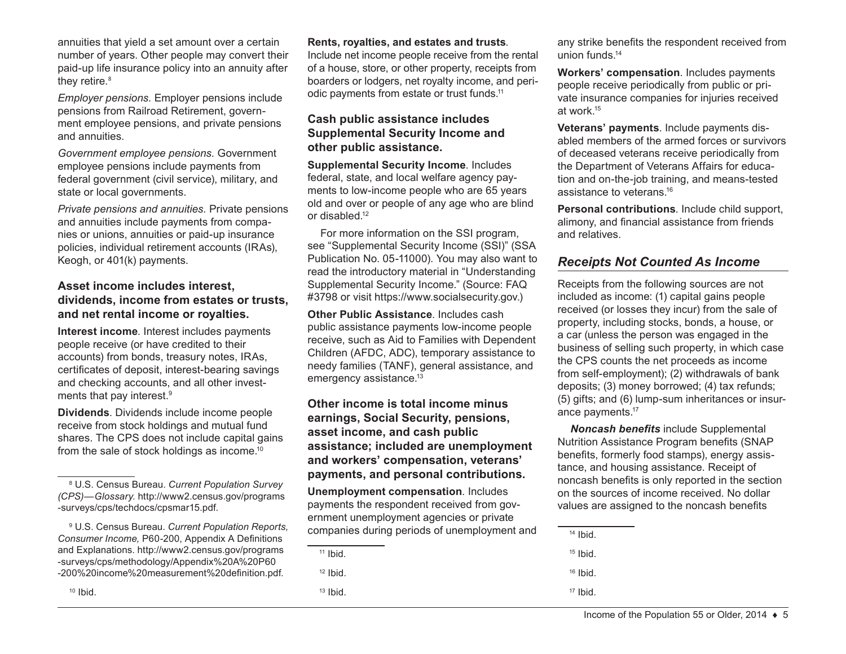annuities that yield a set amount over a certain number of years. Other people may convert their paid-up life insurance policy into an annuity after they retire.<sup>8</sup>

*Employer pensions.* Employer pensions include pensions from Railroad Retirement, government employee pensions, and private pensions and annuities.

*Government employee pensions.* Government employee pensions include payments from federal government (civil service), military, and state or local governments.

*Private pensions and annuities.* Private pensions and annuities include payments from companies or unions, annuities or paid-up insurance policies, individual retirement accounts (IRAs), Keogh, or 401(k) payments.

#### **Asset income includes interest, dividends, income from estates or trusts, and net rental income or royalties.**

**Interest income**. Interest includes payments people receive (or have credited to their accounts) from bonds, treasury notes, IRAs, certificates of deposit, interest-bearing savings and checking accounts, and all other investments that pay interest.9

**Dividends**. Dividends include income people receive from stock holdings and mutual fund shares. The CPS does not include capital gains from the sale of stock holdings as income.<sup>10</sup>

8 U.S. Census Bureau. *Current Population Survey (CPS)—Glossary*. [http://www2.census.gov/programs](http://www2.census.gov/programs-surveys/cps/techdocs/cpsmar15.pdf) [-surveys/cps/techdocs/cpsmar15.pdf.](http://www2.census.gov/programs-surveys/cps/techdocs/cpsmar15.pdf)

9 U.S. Census Bureau. *Current Population Reports, Consumer Income,* P60-200, Appendix A Definitions and Explanations. [http://www2.census.gov/programs](http://www2.census.gov/programs-surveys/cps/methodology/Appendix%20A%20P60-200%20income%20measurement%20definition.pdf) [-surveys/cps/methodology/Appendix%20A%20P60](http://www2.census.gov/programs-surveys/cps/methodology/Appendix%20A%20P60-200%20income%20measurement%20definition.pdf) [-200%20income%20measurement%20definition.pdf](http://www2.census.gov/programs-surveys/cps/methodology/Appendix%20A%20P60-200%20income%20measurement%20definition.pdf).

#### **Rents, royalties, and estates and trusts**.

Include net income people receive from the rental of a house, store, or other property, receipts from boarders or lodgers, net royalty income, and periodic payments from estate or trust funds.11

#### **Cash public assistance includes Supplemental Security Income and other public assistance.**

**Supplemental Security Income**. Includes federal, state, and local welfare agency payments to low-income people who are 65 years old and over or people of any age who are blind or disabled.12

For more information on the SSI program, see ["Supplemental Security Income \(SSI\)](https://www.socialsecurity.gov/pubs/EN-05-11000.pdf)" (SSA Publication No. 05-11000). You may also want to read the introductory material in "[Understanding](https://www.socialsecurity.gov/ssi/text-understanding-ssi.htm)  [Supplemental Security Income.](https://www.socialsecurity.gov/ssi/text-understanding-ssi.htm)" (Source: [FAQ](https://faq.ssa.gov/ics/support/KBAnswer.asp?questionID=3798)  [#3798](https://faq.ssa.gov/ics/support/KBAnswer.asp?questionID=3798) or visit <https://www.socialsecurity.gov>.)

**Other Public Assistance**. Includes cash public assistance payments low-income people receive, such as Aid to Families with Dependent Children (AFDC, ADC), temporary assistance to needy families (TANF), general assistance, and emergency assistance.<sup>13</sup>

#### **Other income is total income minus earnings, Social Security, pensions, asset income, and cash public assistance; included are unemployment and workers' compensation, veterans' payments, and personal contributions.**

**Unemployment compensation**. Includes payments the respondent received from government unemployment agencies or private companies during periods of unemployment and

 $13$  Ibid.

any strike benefits the respondent received from union funds.14

**Workers' compensation**. Includes payments people receive periodically from public or private insurance companies for injuries received at work.15

**Veterans' payments**. Include payments disabled members of the armed forces or survivors of deceased veterans receive periodically from the Department of Veterans Affairs for education and on-the-job training, and means-tested assistance to veterans<sup>16</sup>

**Personal contributions**. Include child support, alimony, and financial assistance from friends and relatives.

### *Receipts Not Counted As Income*

Receipts from the following sources are not included as income: (1) capital gains people received (or losses they incur) from the sale of property, including stocks, bonds, a house, or a car (unless the person was engaged in the business of selling such property, in which case the CPS counts the net proceeds as income from self-employment); (2) withdrawals of bank deposits; (3) money borrowed; (4) tax refunds; (5) gifts; and (6) lump-sum inheritances or insurance payments.17

*Noncash benefits* include Supplemental Nutrition Assistance Program benefits (SNAP benefits, formerly food stamps), energy assistance, and housing assistance. Receipt of noncash benefits is only reported in the section on the sources of income received. No dollar values are assigned to the noncash benefits

 $15$  Ibid.

 $16$  Ibid.

 $11$  Ibid.

 $12$  Ibid.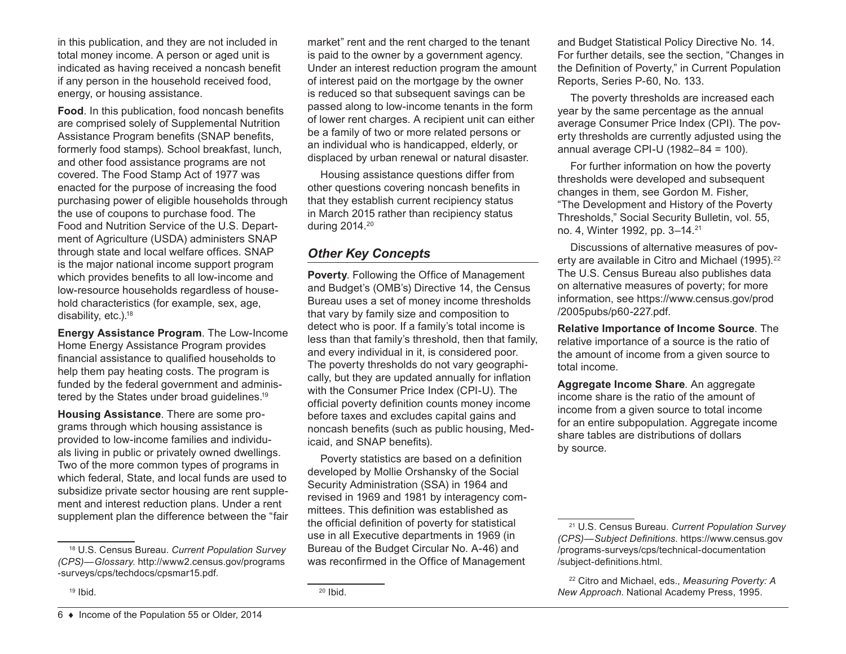in this publication, and they are not included in total money income. A person or aged unit is indicated as having received a noncash benefit if any person in the household received food, energy, or housing assistance.

**Food**. In this publication, food noncash benefits are comprised solely of Supplemental Nutrition Assistance Program benefits (SNAP benefits, formerly food stamps). School breakfast, lunch, and other food assistance programs are not covered. The Food Stamp Act of 1977 was enacted for the purpose of increasing the food purchasing power of eligible households through the use of coupons to purchase food. The Food and Nutrition Service of the U.S. Department of Agriculture (USDA) administers SNAP through state and local welfare offices. SNAP is the major national income support program which provides benefits to all low-income and low-resource households regardless of household characteristics (for example, sex, age, disability, etc.).18

**Energy Assistance Program**. The Low-Income Home Energy Assistance Program provides financial assistance to qualified households to help them pay heating costs. The program is funded by the federal government and administered by the States under broad guidelines.19

**Housing Assistance**. There are some programs through which housing assistance is provided to low-income families and individuals living in public or privately owned dwellings. Two of the more common types of programs in which federal, State, and local funds are used to subsidize private sector housing are rent supplement and interest reduction plans. Under a rent supplement plan the difference between the "fair

 $19$  Ibid.

market" rent and the rent charged to the tenant is paid to the owner by a government agency. Under an interest reduction program the amount of interest paid on the mortgage by the owner is reduced so that subsequent savings can be passed along to low-income tenants in the form of lower rent charges. A recipient unit can either be a family of two or more related persons or an individual who is handicapped, elderly, or displaced by urban renewal or natural disaster.

Housing assistance questions differ from other questions covering noncash benefits in that they establish current recipiency status in March 2015 rather than recipiency status during 2014.20

# *Other Key Concepts*

**Poverty**. Following the Office of Management and Budget's (OMB's) Directive 14, the Census Bureau uses a set of money income thresholds that vary by family size and composition to detect who is poor. If a family's total income is less than that family's threshold, then that family, and every individual in it, is considered poor. The poverty thresholds do not vary geographically, but they are updated annually for inflation with the Consumer Price Index (CPI-U). The official poverty definition counts money income before taxes and excludes capital gains and noncash benefits (such as public housing, Medicaid, and SNAP benefits).

Poverty statistics are based on a definition developed by Mollie Orshansky of the Social Security Administration (SSA) in 1964 and revised in 1969 and 1981 by interagency committees. This definition was established as the official definition of poverty for statistical use in all Executive departments in 1969 (in Bureau of the Budget Circular No. A‑46) and was reconfirmed in the Office of Management

and Budget Statistical Policy Directive No. 14. For further details, see the section, "Changes in the Definition of Poverty," in Current Population Reports, Series P-60, No. 133.

The poverty thresholds are increased each year by the same percentage as the annual average Consumer Price Index (CPI). The poverty thresholds are currently adjusted using the annual average CPI-U (1982–84 = 100).

For further information on how the poverty thresholds were developed and subsequent changes in them, see Gordon M. Fisher, "[The Development and History of the Poverty](https://www.socialsecurity.gov/policy/docs/ssb/v55n4/v55n4p3.pdf)  [Thresholds,](https://www.socialsecurity.gov/policy/docs/ssb/v55n4/v55n4p3.pdf)" Social Security Bulletin, vol. 55, no. 4, Winter 1992, pp. 3–14.21

Discussions of alternative measures of poverty are available in Citro and Michael (1995).<sup>22</sup> The U.S. Census Bureau also publishes data on alternative measures of poverty; for more information, see [https://www.census.gov/prod](https://www.census.gov/prod/2005pubs/p60-227.pdf) [/2005pubs/p60-227.pdf](https://www.census.gov/prod/2005pubs/p60-227.pdf).

**Relative Importance of Income Source**. The relative importance of a source is the ratio of the amount of income from a given source to total income.

**Aggregate Income Share**. An aggregate income share is the ratio of the amount of income from a given source to total income for an entire subpopulation. Aggregate income share tables are distributions of dollars by source.

<sup>18</sup> U.S. Census Bureau. *Current Population Survey (CPS)—Glossary*. [http://www2.census.gov/programs](http://www2.census.gov/programs-surveys/cps/techdocs/cpsmar15.pdf) [-surveys/cps/techdocs/cpsmar15.pdf.](http://www2.census.gov/programs-surveys/cps/techdocs/cpsmar15.pdf)

<sup>21</sup> U.S. Census Bureau. *Current Population Survey (CPS)—Subject Definitions*. [https://www.census.gov](https://www.census.gov/programs-surveys/cps/technical-documentation/subject-definitions.html) [/programs-surveys/cps/technical-documentation](https://www.census.gov/programs-surveys/cps/technical-documentation/subject-definitions.html) [/subject-definitions.html](https://www.census.gov/programs-surveys/cps/technical-documentation/subject-definitions.html).

<sup>22</sup> Citro and Michael, eds., *Measuring Poverty: A New Approach*. National Academy Press, 1995.

 $20$  Ibid.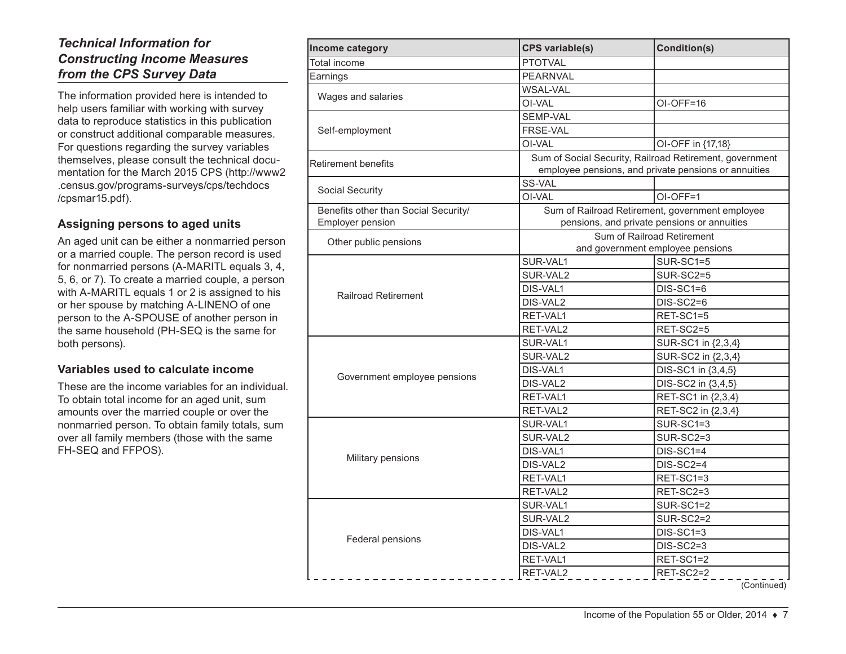# *Technical Information for Constructing Income Measures from the CPS Survey Data*

The information provided here is intended to help users familiar with working with survey data to reproduce statistics in this publication or construct additional comparable measures. For questions regarding the survey variables themselves, please consult the technical documentation for the March 2015 CPS ([http://www2](http://www2.census.gov/programs-surveys/cps/techdocs/cpsmar15.pdf) [.census.gov/programs-surveys/cps/techdocs](http://www2.census.gov/programs-surveys/cps/techdocs/cpsmar15.pdf) [/cpsmar15.pdf](http://www2.census.gov/programs-surveys/cps/techdocs/cpsmar15.pdf)).

### **Assigning persons to aged units**

An aged unit can be either a nonmarried person or a married couple. The person record is used for nonmarried persons (A-MARITL equals 3, 4, 5, 6, or 7). To create a married couple, a person with A-MARITL equals 1 or 2 is assigned to his or her spouse by matching A-LINENO of one person to the A-SPOUSE of another person in the same household (PH-SEQ is the same for both persons).

#### **Variables used to calculate income**

These are the income variables for an individual. To obtain total income for an aged unit, sum amounts over the married couple or over the nonmarried person. To obtain family totals, sum over all family members (those with the same FH-SEQ and FFPOS).

| Income category                                          | <b>CPS</b> variable(s)                                                                                          | Condition(s)                     |
|----------------------------------------------------------|-----------------------------------------------------------------------------------------------------------------|----------------------------------|
| <b>Total income</b>                                      | <b>PTOTVAL</b>                                                                                                  |                                  |
| Earnings                                                 | <b>PEARNVAL</b>                                                                                                 |                                  |
| Wages and salaries                                       | <b>WSAL-VAL</b>                                                                                                 |                                  |
|                                                          | OI-VAL                                                                                                          | OI-OFF=16                        |
|                                                          | SEMP-VAL                                                                                                        |                                  |
| Self-employment                                          | FRSE-VAL                                                                                                        |                                  |
|                                                          | OI-VAL                                                                                                          | OI-OFF in {17,18}                |
| <b>Retirement benefits</b>                               | Sum of Social Security, Railroad Retirement, government<br>employee pensions, and private pensions or annuities |                                  |
|                                                          | SS-VAL                                                                                                          |                                  |
| Social Security                                          | OI-VAL                                                                                                          | OI-OFF=1                         |
| Benefits other than Social Security/<br>Employer pension | Sum of Railroad Retirement, government employee<br>pensions, and private pensions or annuities                  |                                  |
|                                                          |                                                                                                                 | Sum of Railroad Retirement       |
| Other public pensions                                    |                                                                                                                 | and government employee pensions |
|                                                          | SUR-VAL1                                                                                                        | SUR-SC1=5                        |
|                                                          | SUR-VAL2                                                                                                        | <b>SUR-SC2=5</b>                 |
|                                                          | <b>DIS-VAL1</b>                                                                                                 | $DIS-SC1=6$                      |
| <b>Railroad Retirement</b>                               | DIS-VAL2                                                                                                        | $DIS-SC2=6$                      |
|                                                          | RET-VAL1                                                                                                        | RET-SC1=5                        |
|                                                          | RET-VAL2                                                                                                        | RET-SC2=5                        |
|                                                          | SUR-VAL1                                                                                                        | SUR-SC1 in {2,3,4}               |
|                                                          | SUR-VAL2                                                                                                        | SUR-SC2 in {2,3,4}               |
|                                                          | DIS-VAL1                                                                                                        | DIS-SC1 in {3,4,5}               |
| Government employee pensions                             | DIS-VAL2                                                                                                        | DIS-SC2 in {3,4,5}               |
|                                                          | RET-VAL1                                                                                                        | RET-SC1 in {2,3,4}               |
|                                                          | RET-VAL2                                                                                                        | RET-SC2 in {2,3,4}               |
|                                                          | SUR-VAL1                                                                                                        | SUR-SC1=3                        |
|                                                          | SUR-VAL2                                                                                                        | SUR-SC2=3                        |
|                                                          | DIS-VAL1                                                                                                        | $DIS-SC1=4$                      |
| Military pensions                                        | DIS-VAL2                                                                                                        | $DIS-SC2=4$                      |
|                                                          | RET-VAL1                                                                                                        | RET-SC1=3                        |
|                                                          | RET-VAL2                                                                                                        | RET-SC2=3                        |
| Federal pensions                                         | SUR-VAL1                                                                                                        | SUR-SC1=2                        |
|                                                          | SUR-VAL2                                                                                                        | SUR-SC2=2                        |
|                                                          | DIS-VAL1                                                                                                        | $DIS-SC1=3$                      |
|                                                          | DIS-VAL2                                                                                                        | $DIS-SC2=3$                      |
|                                                          | RET-VAL1                                                                                                        | RET-SC1=2                        |
|                                                          | RET-VAL2                                                                                                        | RET-SC2=2                        |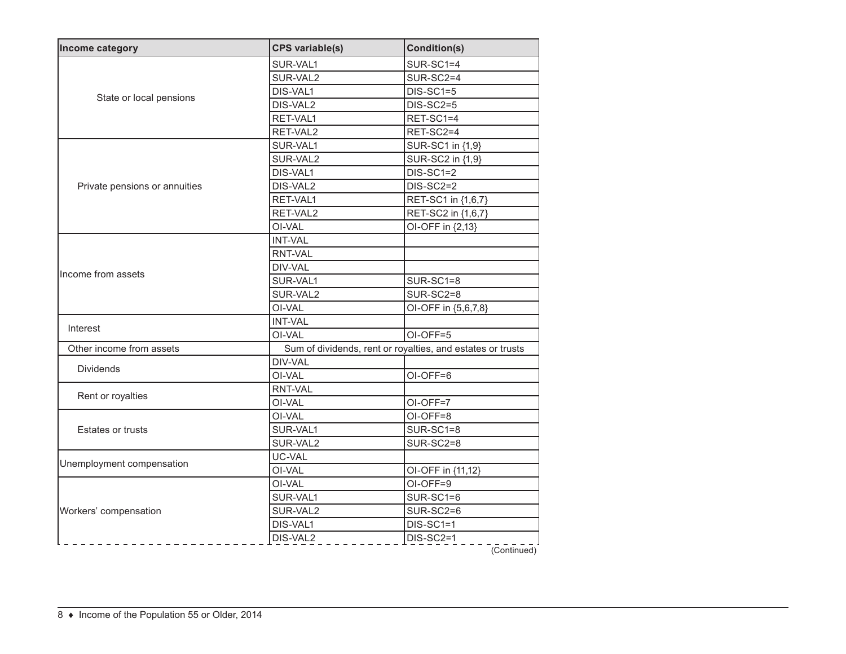| Income category               | <b>CPS</b> variable(s) | <b>Condition(s)</b>                                        |  |  |
|-------------------------------|------------------------|------------------------------------------------------------|--|--|
|                               | SUR-VAL1               | SUR-SC1=4                                                  |  |  |
|                               | SUR-VAL2               | SUR-SC2=4                                                  |  |  |
|                               | DIS-VAL1               | $DIS-SC1=5$                                                |  |  |
| State or local pensions       | DIS-VAL2               | <b>DIS-SC2=5</b>                                           |  |  |
|                               | RET-VAL1               | RET-SC1=4                                                  |  |  |
|                               | RET-VAL2               | RET-SC2=4                                                  |  |  |
|                               | SUR-VAL1               | SUR-SC1 in {1,9}                                           |  |  |
|                               | SUR-VAL2               | SUR-SC2 in {1,9}                                           |  |  |
|                               | DIS-VAL1               | DIS-SC1=2                                                  |  |  |
| Private pensions or annuities | DIS-VAL2               | $DIS-SC2=2$                                                |  |  |
|                               | RET-VAL1               | RET-SC1 in {1,6,7}                                         |  |  |
|                               | RET-VAL2               | RET-SC2 in {1,6,7}                                         |  |  |
|                               | OI-VAL                 | OI-OFF in {2,13}                                           |  |  |
|                               | <b>INT-VAL</b>         |                                                            |  |  |
|                               | <b>RNT-VAL</b>         |                                                            |  |  |
| Income from assets            | DIV-VAL                |                                                            |  |  |
|                               | SUR-VAL1               | SUR-SC1=8                                                  |  |  |
|                               | SUR-VAL2               | SUR-SC2=8                                                  |  |  |
|                               | OI-VAL                 | OI-OFF in {5,6,7,8}                                        |  |  |
| Interest                      | <b>INT-VAL</b>         |                                                            |  |  |
|                               | OI-VAL                 | OI-OFF=5                                                   |  |  |
| Other income from assets      |                        | Sum of dividends, rent or royalties, and estates or trusts |  |  |
| <b>Dividends</b>              | DIV-VAL                |                                                            |  |  |
|                               | OI-VAL                 | OI-OFF=6                                                   |  |  |
| Rent or royalties             | <b>RNT-VAL</b>         |                                                            |  |  |
|                               | OI-VAL                 | OI-OFF=7                                                   |  |  |
|                               | OI-VAL                 | OI-OFF=8                                                   |  |  |
| <b>Estates or trusts</b>      | SUR-VAL1               | $SUR-SC1=8$                                                |  |  |
|                               | SUR-VAL2               | SUR-SC2=8                                                  |  |  |
|                               | UC-VAL                 |                                                            |  |  |
| Unemployment compensation     | OI-VAL                 | OI-OFF in {11,12}                                          |  |  |
| Workers' compensation         | OI-VAL                 | OI-OFF=9                                                   |  |  |
|                               | SUR-VAL1               | SUR-SC1=6                                                  |  |  |
|                               | SUR-VAL2               | SUR-SC2=6                                                  |  |  |
|                               | DIS-VAL1               | $DIS-SC1=1$                                                |  |  |
|                               | DIS-VAL2               | DIS-SC2=1                                                  |  |  |
|                               |                        | (Continued)                                                |  |  |